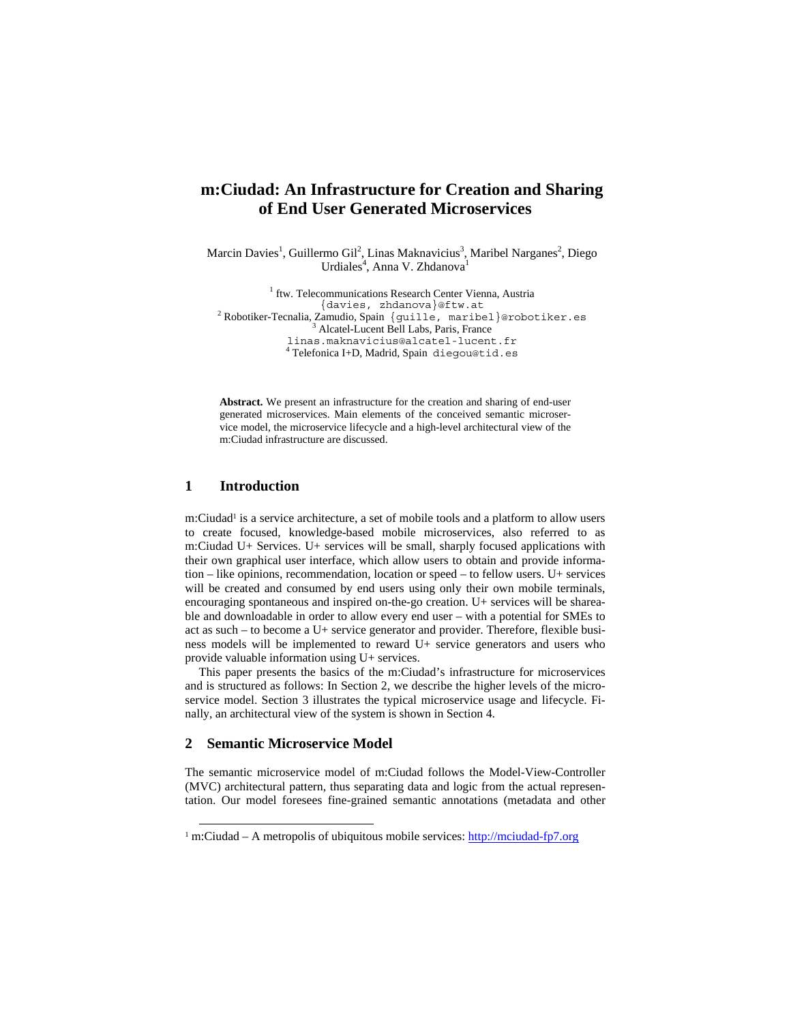# **m:Ciudad: An Infrastructure for Creation and Sharing of End User Generated Microservices**

Marcin Davies<sup>1</sup>, Guillermo Gil<sup>2</sup>, Linas Maknavicius<sup>3</sup>, Maribel Narganes<sup>2</sup>, Diego Urdiales<sup>4</sup>, Anna V. Zhdanova<sup>1</sup>

<sup>1</sup> ftw. Telecommunications Research Center Vienna, Austria {davies, zhdanova}@ftw.at <sup>2</sup> Robotiker-Tecnalia, Zamudio, Spain {guille, maribel}@robotiker.es  $\frac{3 \text{ Albert Number of}}{3 \text{ Albert Number of}}$ <sup>3</sup> Alcatel-Lucent Bell Labs, Paris, France linas.maknavicius@alcatel-lucent.fr 4 Telefonica I+D, Madrid, Spain diegou@tid.es

**Abstract.** We present an infrastructure for the creation and sharing of end-user generated microservices. Main elements of the conceived semantic microservice model, the microservice lifecycle and a high-level architectural view of the m:Ciudad infrastructure are discussed.

### **1 Introduction**

m:Ciudad<sup>1</sup> is a service architecture, a set of mobile tools and a platform to allow users to create focused, knowledge-based mobile microservices, also referred to as m:Ciudad U+ Services. U+ services will be small, sharply focused applications with their own graphical user interface, which allow users to obtain and provide information – like opinions, recommendation, location or speed – to fellow users. U+ services will be created and consumed by end users using only their own mobile terminals, encouraging spontaneous and inspired on-the-go creation. U+ services will be shareable and downloadable in order to allow every end user – with a potential for SMEs to act as such – to become a U+ service generator and provider. Therefore, flexible business models will be implemented to reward U+ service generators and users who provide valuable information using U+ services.

This paper presents the basics of the m:Ciudad's infrastructure for microservices and is structured as follows: In Section 2, we describe the higher levels of the microservice model. Section 3 illustrates the typical microservice usage and lifecycle. Finally, an architectural view of the system is shown in Section 4.

#### **2 Semantic Microservice Model**

The semantic microservice model of m:Ciudad follows the Model-View-Controller (MVC) architectural pattern, thus separating data and logic from the actual representation. Our model foresees fine-grained semantic annotations (metadata and other

<sup>&</sup>lt;sup>1</sup> m:Ciudad – A metropolis of ubiquitous mobile services: http://mciudad-fp7.org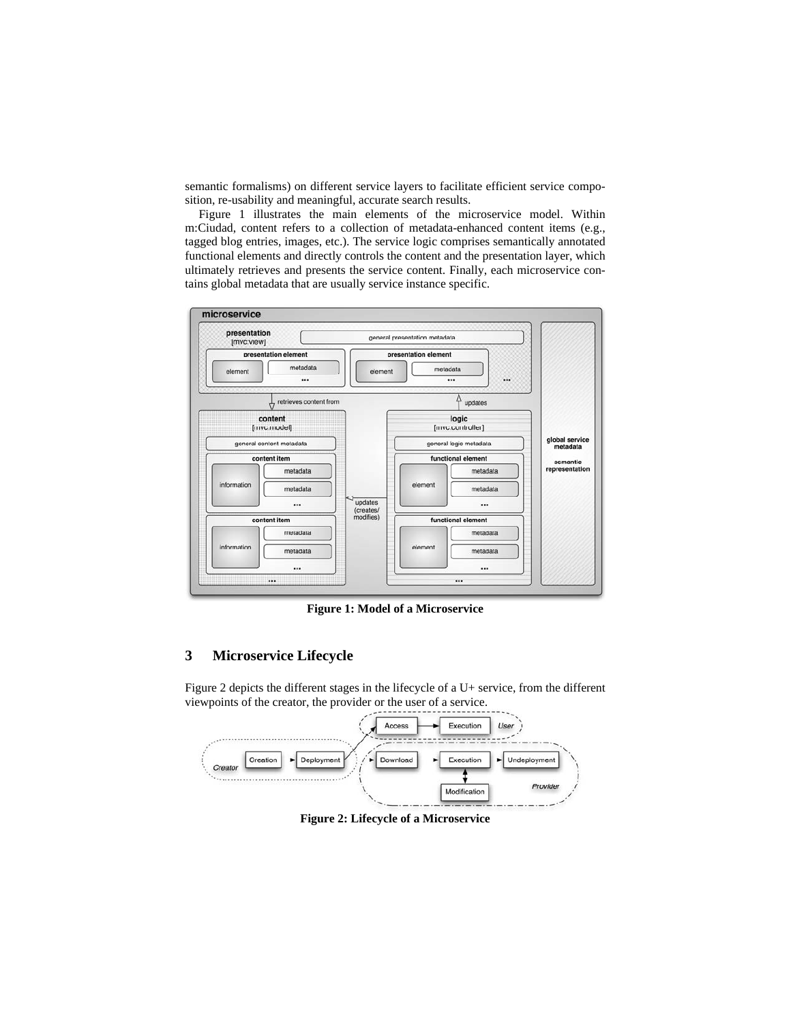semantic formalisms) on different service layers to facilitate efficient service composition, re-usability and meaningful, accurate search results.

Figure 1 illustrates the main elements of the microservice model. Within m:Ciudad, content refers to a collection of metadata-enhanced content items (e.g., tagged blog entries, images, etc.). The service logic comprises semantically annotated functional elements and directly controls the content and the presentation layer, which ultimately retrieves and presents the service content. Finally, each microservice contains global metadata that are usually service instance specific.



**Figure 1: Model of a Microservice** 

## **3 Microservice Lifecycle**

Figure 2 depicts the different stages in the lifecycle of a U+ service, from the different viewpoints of the creator, the provider or the user of a service.



**Figure 2: Lifecycle of a Microservice**